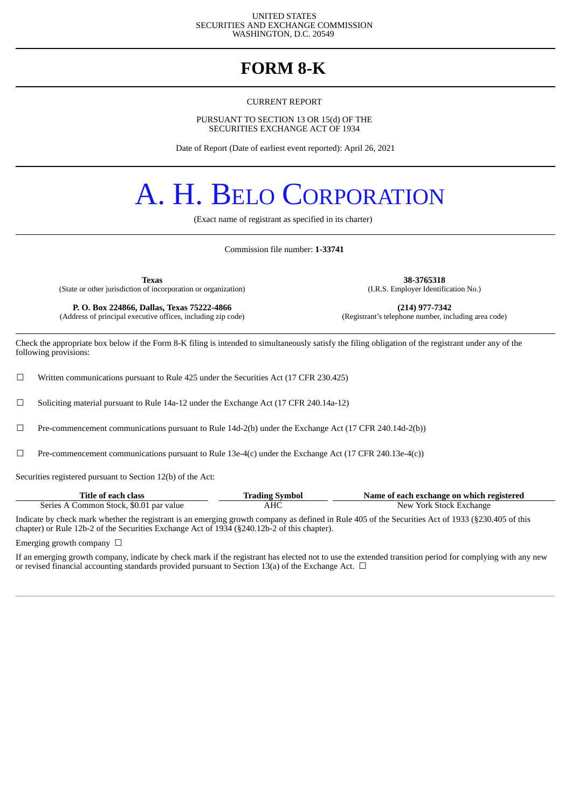#### UNITED STATES SECURITIES AND EXCHANGE COMMISSION WASHINGTON, D.C. 20549

# **FORM 8-K**

CURRENT REPORT

PURSUANT TO SECTION 13 OR 15(d) OF THE SECURITIES EXCHANGE ACT OF 1934

Date of Report (Date of earliest event reported): April 26, 2021

# A. H. BELO CORPORATION

(Exact name of registrant as specified in its charter)

Commission file number: **1-33741**

**Texas 38-3765318** (State or other jurisdiction of incorporation or organization)

(Address of principal executive offices, including zip code)

**P. O. Box 224866, Dallas, Texas 75222-4866** (214) **(214) 977-7342** (dress of principal executive offices, including zip code) (Registrant's telephone number, including area code)

Check the appropriate box below if the Form 8-K filing is intended to simultaneously satisfy the filing obligation of the registrant under any of the following provisions:

 $\Box$  Written communications pursuant to Rule 425 under the Securities Act (17 CFR 230.425)

 $\Box$  Soliciting material pursuant to Rule 14a-12 under the Exchange Act (17 CFR 240.14a-12)

☐ Pre-commencement communications pursuant to Rule 14d-2(b) under the Exchange Act (17 CFR 240.14d-2(b))

 $□$  Pre-commencement communications pursuant to Rule 13e-4(c) under the Exchange Act (17 CFR 240.13e-4(c))

Securities registered pursuant to Section 12(b) of the Act:

| Title of each class                     | <b>Trading Symbol</b> | Name of each exchange on which registered |
|-----------------------------------------|-----------------------|-------------------------------------------|
| Series A Common Stock, \$0.01 par value | AHC                   | New York Stock Exchange                   |

Indicate by check mark whether the registrant is an emerging growth company as defined in Rule 405 of the Securities Act of 1933 (§230.405 of this chapter) or Rule 12b-2 of the Securities Exchange Act of 1934 (§240.12b-2 of this chapter).

Emerging growth company  $\Box$ 

If an emerging growth company, indicate by check mark if the registrant has elected not to use the extended transition period for complying with any new or revised financial accounting standards provided pursuant to Section 13(a) of the Exchange Act.  $\Box$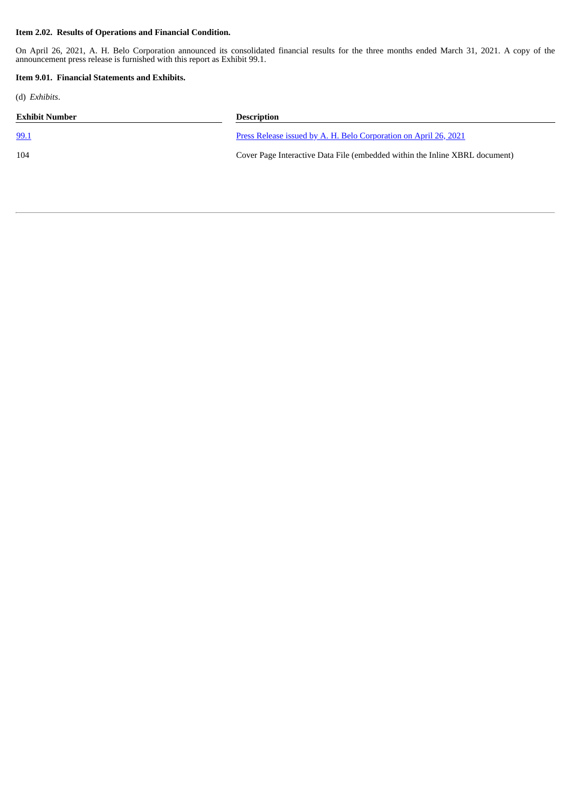#### **Item 2.02. Results of Operations and Financial Condition.**

On April 26, 2021, A. H. Belo Corporation announced its consolidated financial results for the three months ended March 31, 2021. A copy of the announcement press release is furnished with this report as Exhibit 99.1.

#### **Item 9.01. Financial Statements and Exhibits.**

(d) *Exhibits*.

| Exhibit Number | <b>Description</b>                                                          |
|----------------|-----------------------------------------------------------------------------|
| <u>99.1</u>    | <u>Press Release issued by A. H. Belo Corporation on April 26, 2021</u>     |
| 104            | Cover Page Interactive Data File (embedded within the Inline XBRL document) |
|                |                                                                             |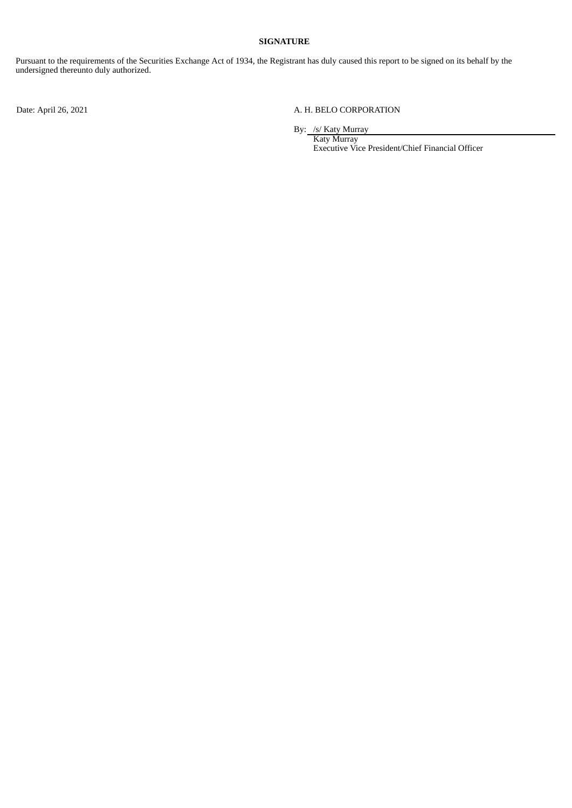#### **SIGNATURE**

Pursuant to the requirements of the Securities Exchange Act of 1934, the Registrant has duly caused this report to be signed on its behalf by the undersigned thereunto duly authorized.

### Date: April 26, 2021 <br>
A. H. BELO CORPORATION

By: /s/ Katy Murray

Katy Murray Executive Vice President/Chief Financial Officer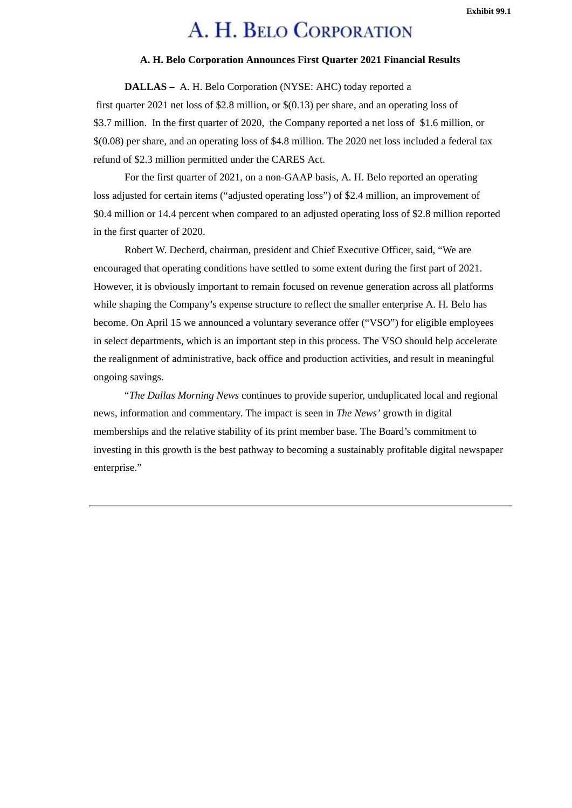#### **Exhibit 99.1**

# A. H. BELO CORPORATION

## **A. H. Belo Corporation Announces First Quarter 2021 Financial Results**

**DALLAS –** A. H. Belo Corporation (NYSE: AHC) today reported a

<span id="page-3-0"></span>first quarter 2021 net loss of \$2.8 million, or \$(0.13) per share, and an operating loss of \$3.7 million. In the first quarter of 2020, the Company reported a net loss of \$1.6 million, or \$(0.08) per share, and an operating loss of \$4.8 million. The 2020 net loss included a federal tax refund of \$2.3 million permitted under the CARES Act.

For the first quarter of 2021, on a non-GAAP basis, A. H. Belo reported an operating loss adjusted for certain items ("adjusted operating loss") of \$2.4 million, an improvement of \$0.4 million or 14.4 percent when compared to an adjusted operating loss of \$2.8 million reported in the first quarter of 2020.

Robert W. Decherd, chairman, president and Chief Executive Officer, said, "We are encouraged that operating conditions have settled to some extent during the first part of 2021. However, it is obviously important to remain focused on revenue generation across all platforms while shaping the Company's expense structure to reflect the smaller enterprise A. H. Belo has become. On April 15 we announced a voluntary severance offer ("VSO") for eligible employees in select departments, which is an important step in this process. The VSO should help accelerate the realignment of administrative, back office and production activities, and result in meaningful ongoing savings.

"*The Dallas Morning News* continues to provide superior, unduplicated local and regional news, information and commentary. The impact is seen in *The News'* growth in digital memberships and the relative stability of its print member base. The Board's commitment to investing in this growth is the best pathway to becoming a sustainably profitable digital newspaper enterprise."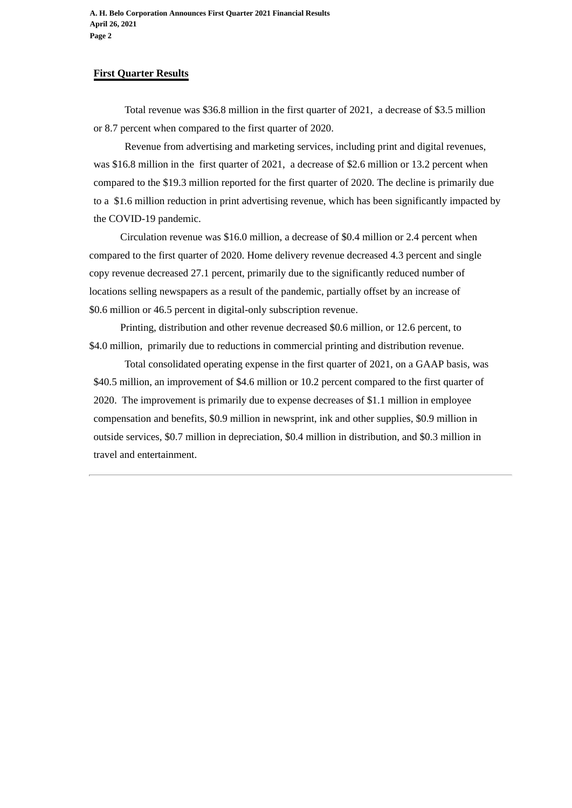# **First Quarter Results**

Total revenue was \$36.8 million in the first quarter of 2021, a decrease of \$3.5 million or 8.7 percent when compared to the first quarter of 2020.

Revenue from advertising and marketing services, including print and digital revenues, was \$16.8 million in the first quarter of 2021, a decrease of \$2.6 million or 13.2 percent when compared to the \$19.3 million reported for the first quarter of 2020. The decline is primarily due to a \$1.6 million reduction in print advertising revenue, which has been significantly impacted by the COVID-19 pandemic.

Circulation revenue was \$16.0 million, a decrease of \$0.4 million or 2.4 percent when compared to the first quarter of 2020. Home delivery revenue decreased 4.3 percent and single copy revenue decreased 27.1 percent, primarily due to the significantly reduced number of locations selling newspapers as a result of the pandemic, partially offset by an increase of \$0.6 million or 46.5 percent in digital-only subscription revenue.

Printing, distribution and other revenue decreased \$0.6 million, or 12.6 percent, to \$4.0 million, primarily due to reductions in commercial printing and distribution revenue.

Total consolidated operating expense in the first quarter of 2021, on a GAAP basis, was \$40.5 million, an improvement of \$4.6 million or 10.2 percent compared to the first quarter of 2020. The improvement is primarily due to expense decreases of \$1.1 million in employee compensation and benefits, \$0.9 million in newsprint, ink and other supplies, \$0.9 million in outside services, \$0.7 million in depreciation, \$0.4 million in distribution, and \$0.3 million in travel and entertainment.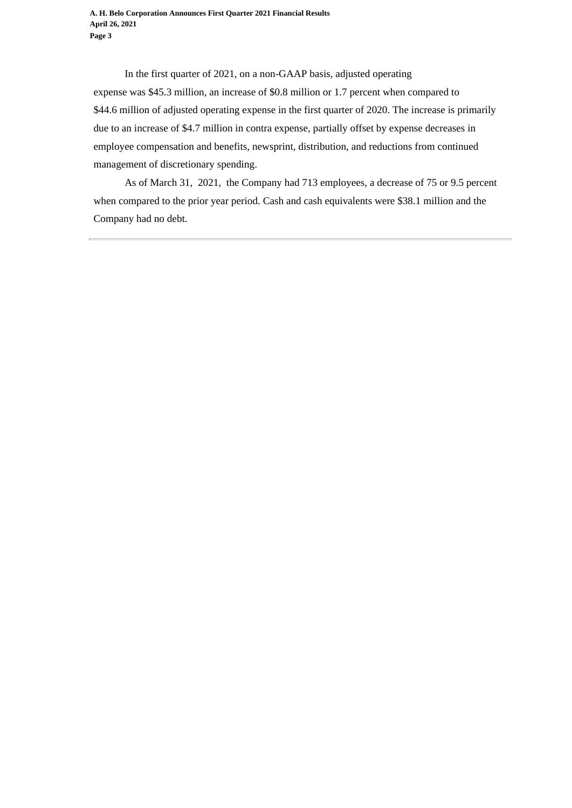In the first quarter of 2021, on a non-GAAP basis, adjusted operating expense was \$45.3 million, an increase of \$0.8 million or 1.7 percent when compared to \$44.6 million of adjusted operating expense in the first quarter of 2020. The increase is primarily due to an increase of \$4.7 million in contra expense, partially offset by expense decreases in employee compensation and benefits, newsprint, distribution, and reductions from continued management of discretionary spending.

As of March 31, 2021, the Company had 713 employees, a decrease of 75 or 9.5 percent when compared to the prior year period. Cash and cash equivalents were \$38.1 million and the Company had no debt.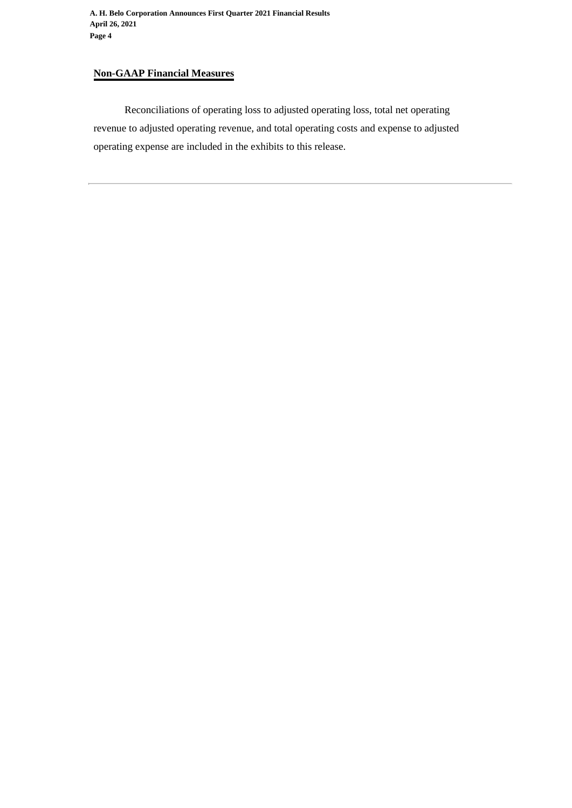# **Non-GAAP Financial Measures**

Reconciliations of operating loss to adjusted operating loss, total net operating revenue to adjusted operating revenue, and total operating costs and expense to adjusted operating expense are included in the exhibits to this release.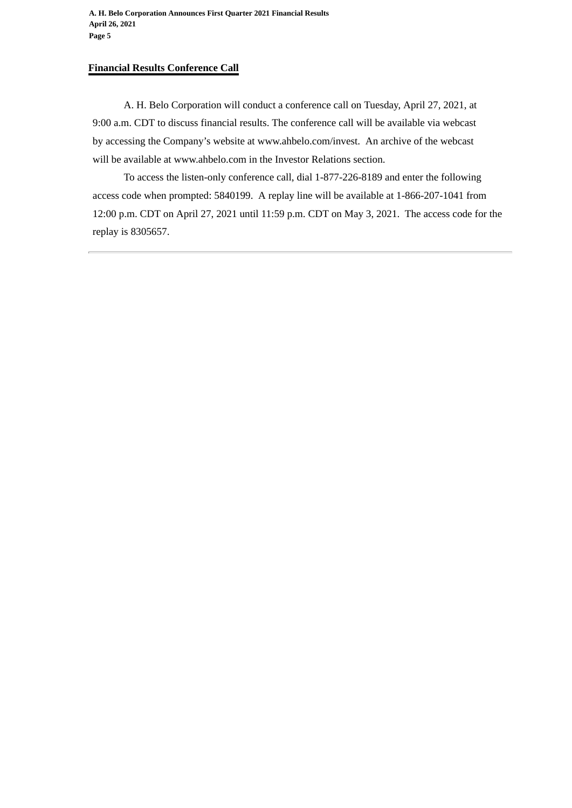# **Financial Results Conference Call**

A. H. Belo Corporation will conduct a conference call on Tuesday, April 27, 2021, at 9:00 a.m. CDT to discuss financial results. The conference call will be available via webcast by accessing the Company's website at www.ahbelo.com/invest. An archive of the webcast will be available at www.ahbelo.com in the Investor Relations section.

To access the listen-only conference call, dial 1-877-226-8189 and enter the following access code when prompted: 5840199. A replay line will be available at 1-866-207-1041 from 12:00 p.m. CDT on April 27, 2021 until 11:59 p.m. CDT on May 3, 2021. The access code for the replay is 8305657.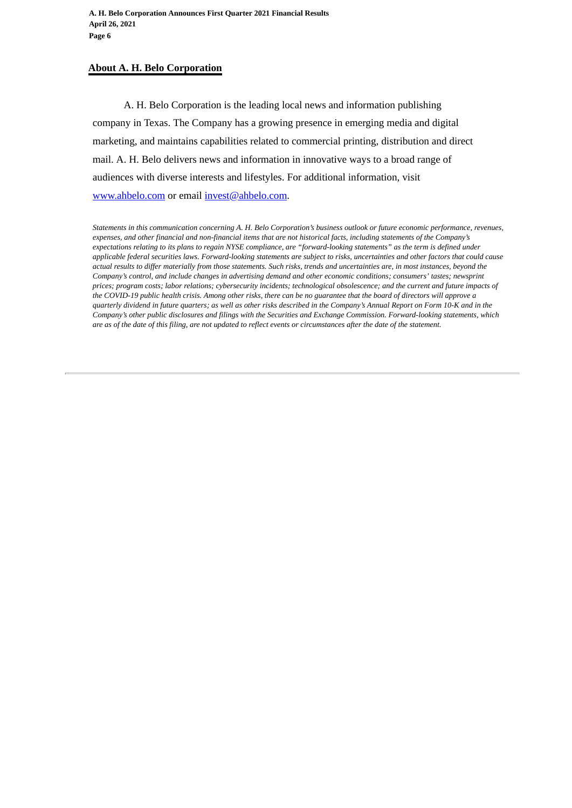# **About A. H. Belo Corporation**

A. H. Belo Corporation is the leading local news and information publishing company in Texas. The Company has a growing presence in emerging media and digital marketing, and maintains capabilities related to commercial printing, distribution and direct mail. A. H. Belo delivers news and information in innovative ways to a broad range of audiences with diverse interests and lifestyles. For additional information, visit www.ahbelo.com or email invest@ahbelo.com.

*Statements in this communication concerning A. H. Belo Corporation's business outlook or future economic performance, revenues, expenses, and other financial and non-financial items that are not historical facts, including statements of the Company's expectations relating to its plans to regain NYSE compliance, are "forward-looking statements" as the term is defined under applicable federal securities laws. Forward-looking statements are subject to risks, uncertainties and other factors that could cause actual results to differ materially from those statements. Such risks, trends and uncertainties are, in most instances, beyond the Company's control, and include changes in advertising demand and other economic conditions; consumers' tastes; newsprint prices; program costs; labor relations; cybersecurity incidents; technological obsolescence; and the current and future impacts of the COVID-19 public health crisis. Among other risks, there can be no guarantee that the board of directors will approve a quarterly dividend in future quarters; as well as other risks described in the Company's Annual Report on Form 10-K and in the Company's other public disclosures and filings with the Securities and Exchange Commission. Forward-looking statements, which are as of the date of this filing, are not updated to reflect events or circumstances after the date of the statement.*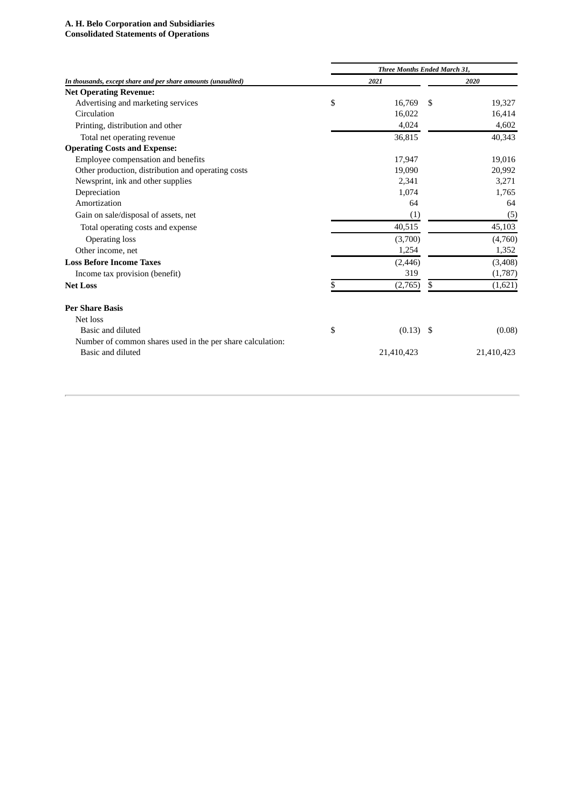# **A. H. Belo Corporation and Subsidiaries**

#### **Consolidated Statements of Operations**

| 2020       |
|------------|
|            |
|            |
| 19,327     |
| 16,414     |
| 4,602      |
| 40,343     |
|            |
| 19,016     |
| 20,992     |
| 3,271      |
| 1,765      |
| 64         |
| (5)        |
| 45,103     |
| (4,760)    |
| 1,352      |
| (3,408)    |
| (1,787)    |
| (1,621)    |
|            |
|            |
| (0.08)     |
|            |
| 21,410,423 |
|            |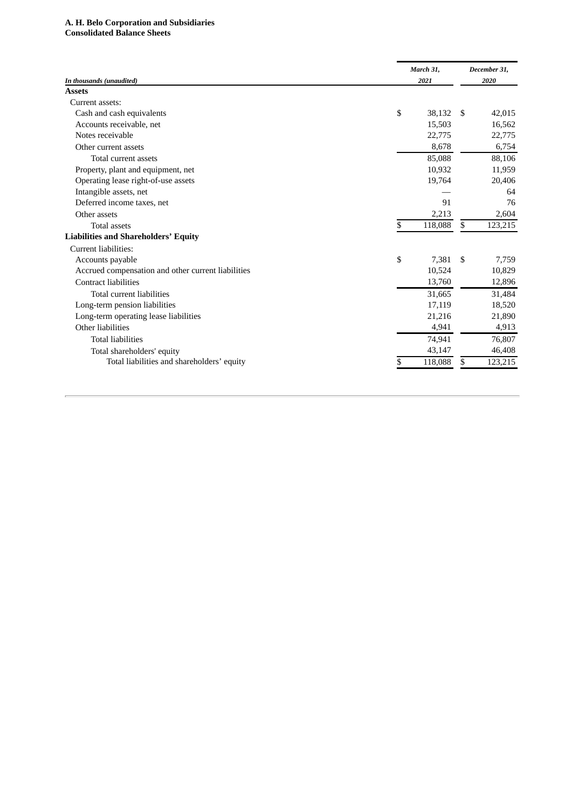#### A. H. Belo Corporation and Subsidiaries **Consolidated Balance Sheets**

|                                                    |    | March 31, |     | December 31, |  |
|----------------------------------------------------|----|-----------|-----|--------------|--|
| In thousands (unaudited)<br><b>Assets</b>          |    | 2021      |     | 2020         |  |
| Current assets:                                    |    |           |     |              |  |
| Cash and cash equivalents                          | \$ | 38,132    | -\$ | 42,015       |  |
| Accounts receivable, net                           |    | 15,503    |     | 16,562       |  |
| Notes receivable                                   |    | 22,775    |     | 22,775       |  |
| Other current assets                               |    | 8,678     |     | 6,754        |  |
|                                                    |    |           |     |              |  |
| Total current assets                               |    | 85,088    |     | 88,106       |  |
| Property, plant and equipment, net                 |    | 10,932    |     | 11,959       |  |
| Operating lease right-of-use assets                |    | 19,764    |     | 20,406       |  |
| Intangible assets, net                             |    |           |     | 64           |  |
| Deferred income taxes, net                         |    | 91        |     | 76           |  |
| Other assets                                       |    | 2,213     |     | 2,604        |  |
| <b>Total assets</b>                                | S. | 118,088   | \$  | 123,215      |  |
| <b>Liabilities and Shareholders' Equity</b>        |    |           |     |              |  |
| Current liabilities:                               |    |           |     |              |  |
| Accounts payable                                   | \$ | 7,381     | -\$ | 7,759        |  |
| Accrued compensation and other current liabilities |    | 10,524    |     | 10,829       |  |
| <b>Contract liabilities</b>                        |    | 13,760    |     | 12,896       |  |
| Total current liabilities                          |    | 31,665    |     | 31,484       |  |
| Long-term pension liabilities                      |    | 17,119    |     | 18,520       |  |
| Long-term operating lease liabilities              |    | 21,216    |     | 21,890       |  |
| Other liabilities                                  |    | 4,941     |     | 4,913        |  |
| <b>Total liabilities</b>                           |    | 74,941    |     | 76,807       |  |
| Total shareholders' equity                         |    | 43,147    |     | 46,408       |  |
| Total liabilities and shareholders' equity         |    | 118,088   | \$  | 123,215      |  |
|                                                    |    |           |     |              |  |